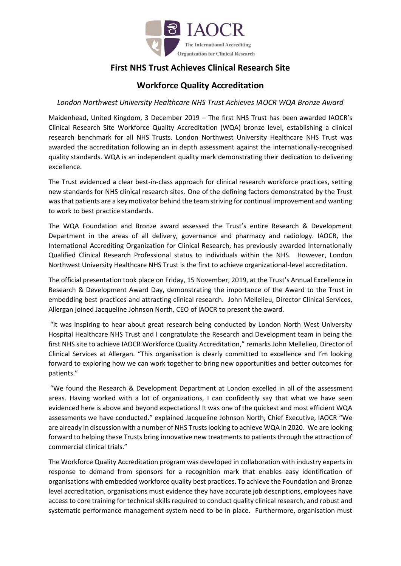

# **First NHS Trust Achieves Clinical Research Site**

# **Workforce Quality Accreditation**

### *London Northwest University Healthcare NHS Trust Achieves IAOCR WQA Bronze Award*

Maidenhead, United Kingdom, 3 December 2019 – The first NHS Trust has been awarded IAOCR's Clinical Research Site Workforce Quality Accreditation (WQA) bronze level, establishing a clinical research benchmark for all NHS Trusts. London Northwest University Healthcare NHS Trust was awarded the accreditation following an in depth assessment against the internationally-recognised quality standards. WQA is an independent quality mark demonstrating their dedication to delivering excellence.

The Trust evidenced a clear best-in-class approach for clinical research workforce practices, setting new standards for NHS clinical research sites. One of the defining factors demonstrated by the Trust was that patients are a key motivator behind the team striving for continual improvement and wanting to work to best practice standards.

The WQA Foundation and Bronze award assessed the Trust's entire Research & Development Department in the areas of all delivery, governance and pharmacy and radiology. IAOCR, the International Accrediting Organization for Clinical Research, has previously awarded Internationally Qualified Clinical Research Professional status to individuals within the NHS. However, London Northwest University Healthcare NHS Trust is the first to achieve organizational-level accreditation.

The official presentation took place on Friday, 15 November, 2019, at the Trust's Annual Excellence in Research & Development Award Day, demonstrating the importance of the Award to the Trust in embedding best practices and attracting clinical research. John Mellelieu, Director Clinical Services, Allergan joined Jacqueline Johnson North, CEO of IAOCR to present the award.

"It was inspiring to hear about great research being conducted by London North West University Hospital Healthcare NHS Trust and I congratulate the Research and Development team in being the first NHS site to achieve IAOCR Workforce Quality Accreditation," remarks John Mellelieu, Director of Clinical Services at Allergan. "This organisation is clearly committed to excellence and I'm looking forward to exploring how we can work together to bring new opportunities and better outcomes for patients."

"We found the Research & Development Department at London excelled in all of the assessment areas. Having worked with a lot of organizations, I can confidently say that what we have seen evidenced here is above and beyond expectations! It was one of the quickest and most efficient WQA assessments we have conducted." explained Jacqueline Johnson North, Chief Executive, IAOCR "We are already in discussion with a number of NHS Trusts looking to achieve WQA in 2020. We are looking forward to helping these Trusts bring innovative new treatments to patients through the attraction of commercial clinical trials."

The Workforce Quality Accreditation program was developed in collaboration with industry experts in response to demand from sponsors for a recognition mark that enables easy identification of organisations with embedded workforce quality best practices. To achieve the Foundation and Bronze level accreditation, organisations must evidence they have accurate job descriptions, employees have access to core training for technical skills required to conduct quality clinical research, and robust and systematic performance management system need to be in place. Furthermore, organisation must